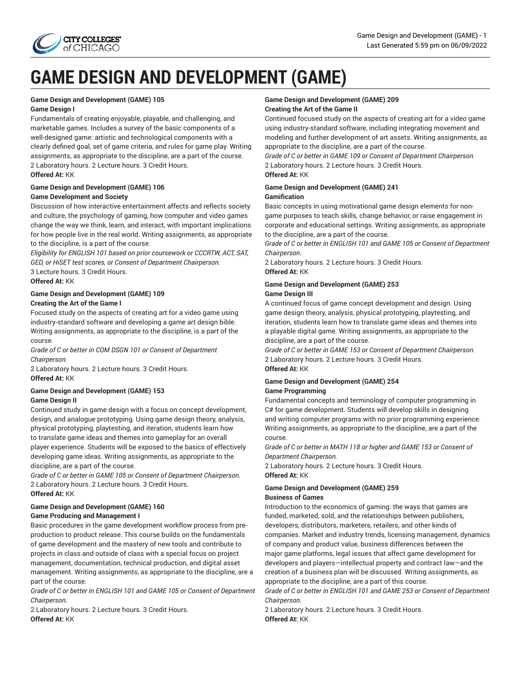

# **GAME DESIGN AND DEVELOPMENT (GAME)**

## **Game Design and Development (GAME) 105**

### **Game Design I**

Fundamentals of creating enjoyable, playable, and challenging, and marketable games. Includes a survey of the basic components of a well-designed game: artistic and technological components with a clearly defined goal, set of game criteria, and rules for game play. Writing assignments, as appropriate to the discipline, are a part of the course. 2 Laboratory hours. 2 Lecture hours. 3 Credit Hours. **Offered At:** KK

## **Game Design and Development (GAME) 106 Game Development and Society**

Discussion of how interactive entertainment affects and reflects society and culture, the psychology of gaming, how computer and video games change the way we think, learn, and interact, with important implications for how people live in the real world. Writing assignments, as appropriate to the discipline, is a part of the course.

*Eligibility for ENGLISH 101 based on prior coursework or CCCRTW, ACT, SAT, GED, or HiSET test scores, or Consent of Department Chairperson.* 3 Lecture hours. 3 Credit Hours.

**Offered At:** KK

## **Game Design and Development (GAME) 109 Creating the Art of the Game I**

Focused study on the aspects of creating art for a video game using industry-standard software and developing a game art design bible. Writing assignments, as appropriate to the discipline, is a part of the course.

*Grade of C or better in COM DSGN 101 or Consent of Department Chairperson.*

2 Laboratory hours. 2 Lecture hours. 3 Credit Hours. **Offered At:** KK

#### **Game Design and Development (GAME) 153 Game Design II**

Continued study in game design with a focus on concept development, design, and analogue prototyping. Using game design theory, analysis, physical prototyping, playtesting, and iteration, students learn how to translate game ideas and themes into gameplay for an overall player experience. Students will be exposed to the basics of effectively developing game ideas. Writing assignments, as appropriate to the discipline, are a part of the course.

*Grade of C or better in GAME 105 or Consent of Department Chairperson.* 2 Laboratory hours. 2 Lecture hours. 3 Credit Hours. **Offered At:** KK

## **Game Design and Development (GAME) 160 Game Producing and Management I**

Basic procedures in the game development workflow process from preproduction to product release. This course builds on the fundamentals of game development and the mastery of new tools and contribute to projects in class and outside of class with a special focus on project management, documentation, technical production, and digital asset management. Writing assignments, as appropriate to the discipline, are a part of the course.

*Grade of C or better in ENGLISH 101 and GAME 105 or Consent of Department Chairperson.*

2 Laboratory hours. 2 Lecture hours. 3 Credit Hours. **Offered At:** KK

## **Game Design and Development (GAME) 209 Creating the Art of the Game II**

Continued focused study on the aspects of creating art for a video game using industry-standard software, including integrating movement and modeling and further development of art assets. Writing assignments, as appropriate to the discipline, are a part of the course.

*Grade of C or better in GAME 109 or Consent of Department Chairperson.* 2 Laboratory hours. 2 Lecture hours. 3 Credit Hours.

# **Offered At:** KK

## **Game Design and Development (GAME) 241 Gamification**

Basic concepts in using motivational game design elements for nongame purposes to teach skills, change behavior, or raise engagement in corporate and educational settings. Writing assignments, as appropriate to the discipline, are a part of the course.

*Grade of C or better in ENGLISH 101 and GAME 105 or Consent of Department Chairperson.*

2 Laboratory hours. 2 Lecture hours. 3 Credit Hours. **Offered At:** KK

## **Game Design and Development (GAME) 253 Game Design III**

A continued focus of game concept development and design. Using game design theory, analysis, physical prototyping, playtesting, and iteration, students learn how to translate game ideas and themes into a playable digital game. Writing assignments, as appropriate to the discipline, are a part of the course.

*Grade of C or better in GAME 153 or Consent of Department Chairperson.* 2 Laboratory hours. 2 Lecture hours. 3 Credit Hours.

## **Offered At:** KK

## **Game Design and Development (GAME) 254 Game Programming**

Fundamental concepts and terminology of computer programming in C# for game development. Students will develop skills in designing and writing computer programs with no prior programming experience. Writing assignments, as appropriate to the discipline, are a part of the course.

*Grade of C or better in MATH 118 or higher and GAME 153 or Consent of Department Chairperson.*

2 Laboratory hours. 2 Lecture hours. 3 Credit Hours. **Offered At:** KK

## **Game Design and Development (GAME) 259 Business of Games**

Introduction to the economics of gaming: the ways that games are funded, marketed, sold, and the relationships between publishers, developers, distributors, marketers, retailers, and other kinds of companies. Market and industry trends, licensing management, dynamics of company and product value, business differences between the major game platforms, legal issues that affect game development for developers and players—intellectual property and contract law—and the creation of a business plan will be discussed. Writing assignments, as appropriate to the discipline, are a part of this course.

*Grade of C or better in ENGLISH 101 and GAME 253 or Consent of Department Chairperson.*

2 Laboratory hours. 2 Lecture hours. 3 Credit Hours. **Offered At:** KK